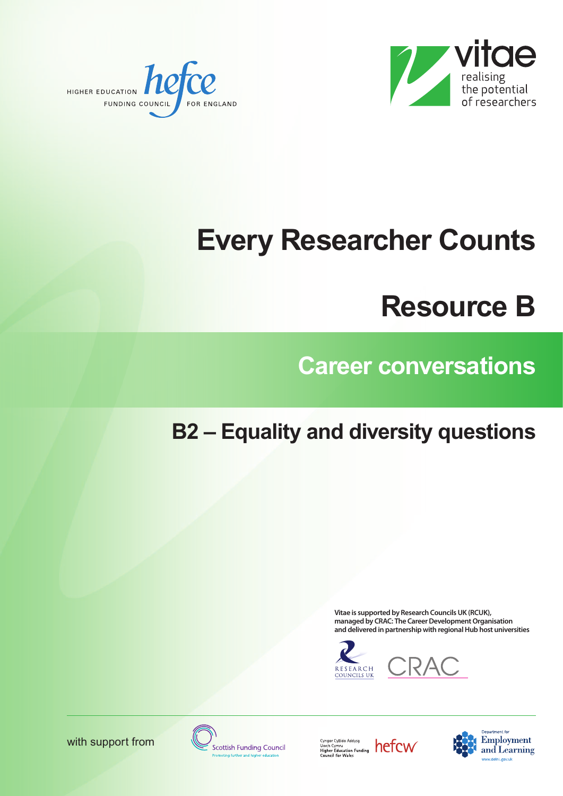



# **Every Researcher Counts**

## **Resource B**

### **Career conversations**

#### **B2 – Equality and diversity questions**

**Vitae is supported by Research CouncilsUK (RCUK), managed** by CRAC: The Career Development Organisation **and delivered in partnership with regionalHub host universities**









Cyngor Cyllido Addysg<br>Uwch Cymru<br>Higher Education Funding<br>Council for Wales